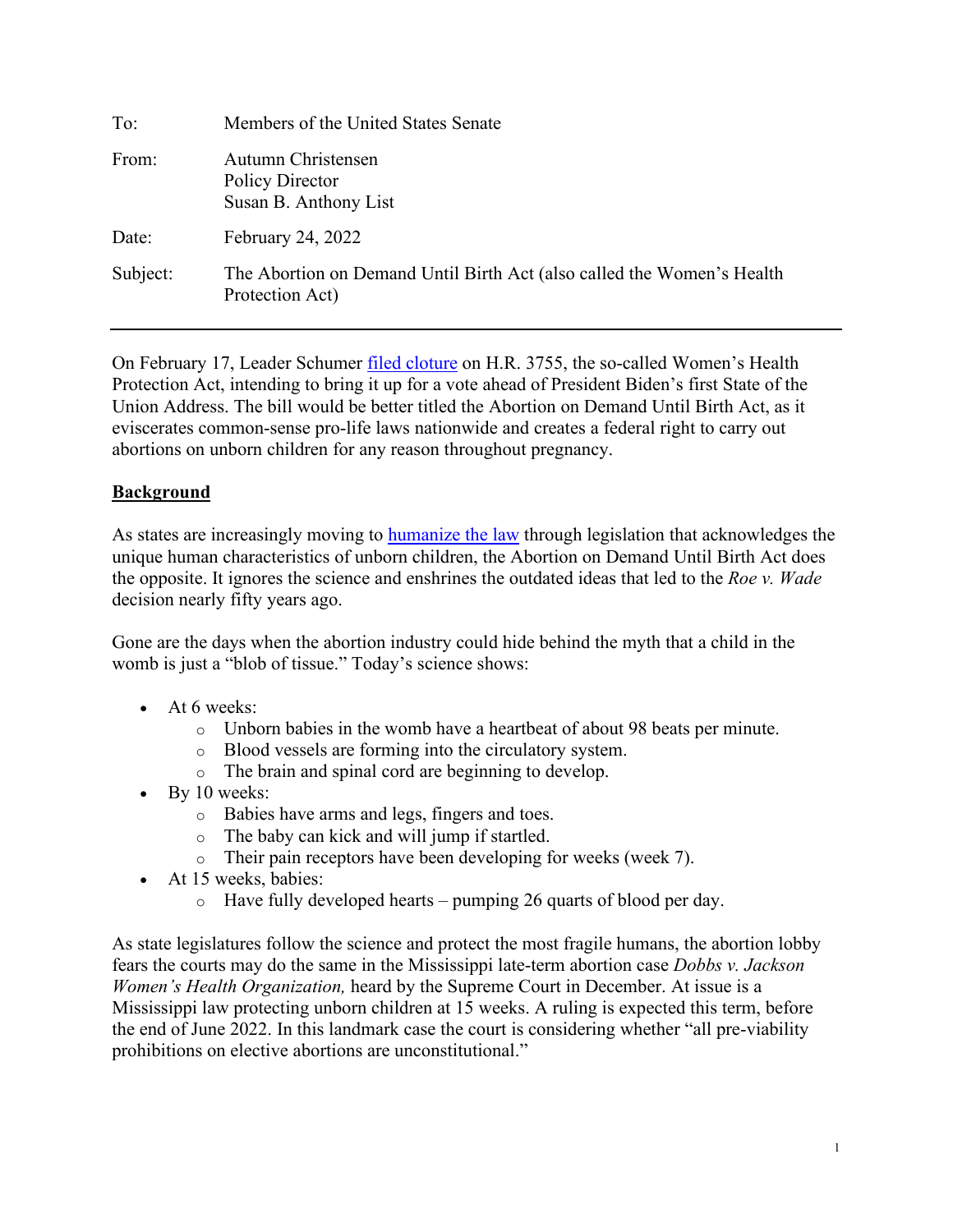| To:      | Members of the United States Senate                                                       |
|----------|-------------------------------------------------------------------------------------------|
| From:    | Autumn Christensen<br>Policy Director<br>Susan B. Anthony List                            |
| Date:    | February 24, 2022                                                                         |
| Subject: | The Abortion on Demand Until Birth Act (also called the Women's Health<br>Protection Act) |

On February 17, Leader Schumer [filed cloture](https://twitter.com/SenateCloakroom/status/1494462979496189954?s=20&t=chLIjqR5tqytiY7hbrNtng) on H.R. 3755, the so-called Women's Health Protection Act, intending to bring it up for a vote ahead of President Biden's first State of the Union Address. The bill would be better titled the Abortion on Demand Until Birth Act, as it eviscerates common-sense pro-life laws nationwide and creates a federal right to carry out abortions on unborn children for any reason throughout pregnancy.

# **Background**

As states are increasingly moving to **humanize the law** through legislation that acknowledges the unique human characteristics of unborn children, the Abortion on Demand Until Birth Act does the opposite. It ignores the science and enshrines the outdated ideas that led to the *Roe v. Wade* decision nearly fifty years ago.

Gone are the days when the abortion industry could hide behind the myth that a child in the womb is just a "blob of tissue." Today's science shows:

- At 6 weeks:
	- $\circ$  Unborn babies in the womb have a heartbeat of about 98 beats per minute.
	- o Blood vessels are forming into the circulatory system.
	- o The brain and spinal cord are beginning to develop.
- By 10 weeks:
	- o Babies have arms and legs, fingers and toes.
	- o The baby can kick and will jump if startled.
	- o Their pain receptors have been developing for weeks (week 7).
- At 15 weeks, babies:
	- $\circ$  Have fully developed hearts pumping 26 quarts of blood per day.

As state legislatures follow the science and protect the most fragile humans, the abortion lobby fears the courts may do the same in the Mississippi late-term abortion case *Dobbs v. Jackson Women's Health Organization,* heard by the Supreme Court in December. At issue is a Mississippi law protecting unborn children at 15 weeks. A ruling is expected this term, before the end of June 2022. In this landmark case the court is [consideri](https://www.scotusblog.com/case-files/cases/dobbs-v-jackson-womens-health-organization/)ng whether "all pre-viability prohibitions on elective abortions are unconstitutional."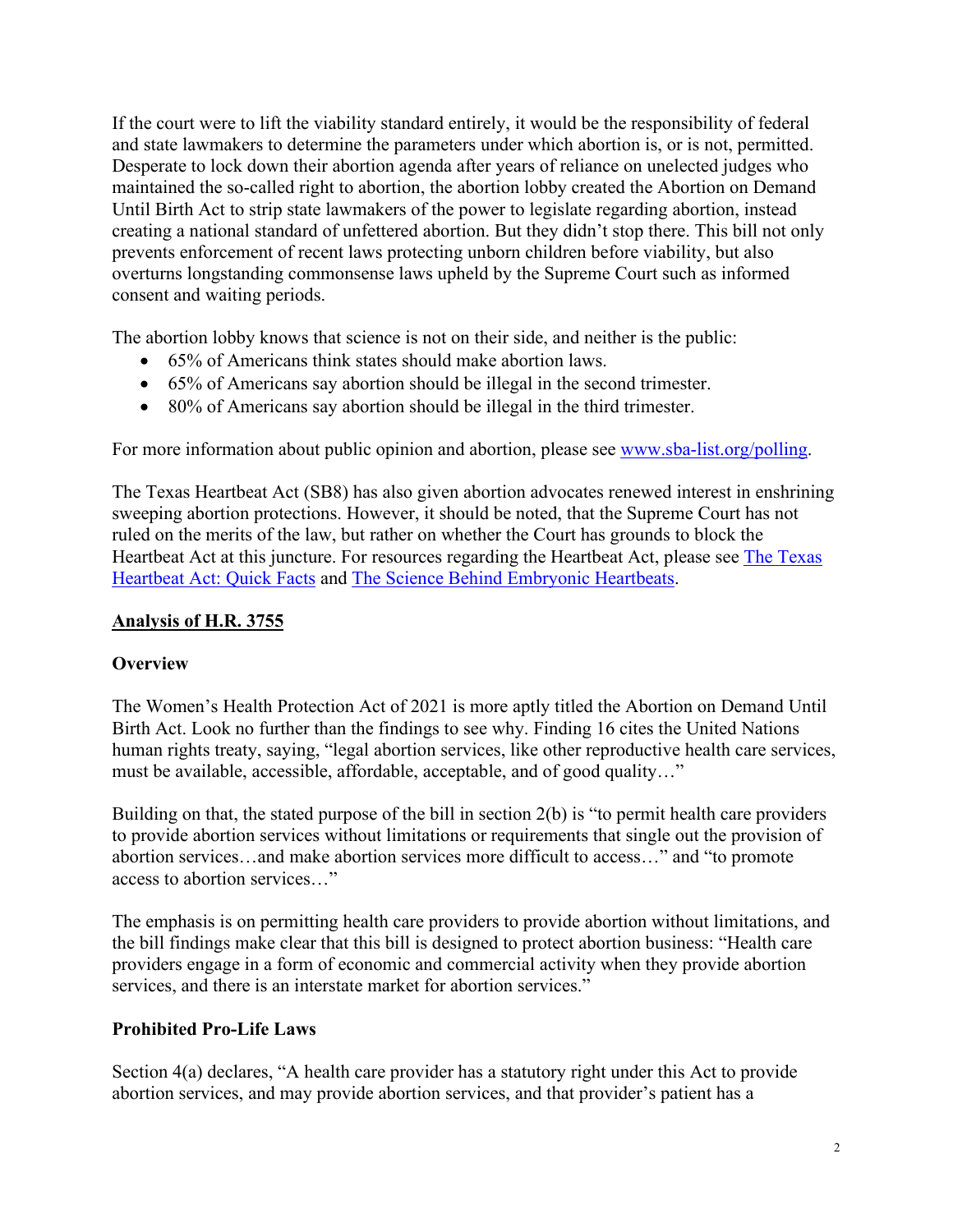If the court were to lift the viability standard entirely, it would be the responsibility of federal and state lawmakers to determine the parameters under which abortion is, or is not, permitted. Desperate to lock down their abortion agenda after years of reliance on unelected judges who maintained the so-called right to abortion, the abortion lobby created the Abortion on Demand Until Birth Act to strip state lawmakers of the power to legislate regarding abortion, instead creating a national standard of unfettered abortion. But they didn't stop there. This bill not only prevents enforcement of recent laws protecting unborn children before viability, but also overturns longstanding commonsense laws upheld by the Supreme Court such as informed consent and waiting periods.

The abortion lobby knows that science is not on their side, and neither is the public:

- 65% of Americans think states should make abortion laws.
- 65% of Americans say abortion should be illegal in the second trimester.
- 80% of Americans say abortion should be illegal in the third trimester.

For more information about public opinion and abortion, please see [www.sba-list.org/polling.](http://www.sba-list.org/polling)

The Texas Heartbeat Act (SB8) has also given abortion advocates renewed interest in enshrining sweeping abortion protections. However, it should be noted, that the Supreme Court has not ruled on the merits of the law, but rather on whether the Court has grounds to block the Heartbeat Act at this juncture. For resources regarding the Heartbeat Act, please see [The Texas](https://www.sba-list.org/wp-content/uploads/2021/09/Texas-Heartbeat-Act-One-Pager-1.pdf) [Heartbeat Act: Quick Facts](https://www.sba-list.org/wp-content/uploads/2021/09/Texas-Heartbeat-Act-One-Pager-1.pdf) and [The Science Behind Embryonic Heartbeats.](https://lozierinstitute.org/the-science-behind-embryonic-heartbeats-a-fact-sheet/)

## **Analysis of H.R. 3755**

#### **Overview**

The Women's Health Protection Act of 2021 is more aptly titled the Abortion on Demand Until Birth Act. Look no further than the findings to see why. Finding 16 cites the United Nations human rights treaty, saying, "legal abortion services, like other reproductive health care services, must be available, accessible, affordable, acceptable, and of good quality…"

Building on that, the stated purpose of the bill in section 2(b) is "to permit health care providers to provide abortion services without limitations or requirements that single out the provision of abortion services…and make abortion services more difficult to access…" and "to promote access to abortion services…"

The emphasis is on permitting health care providers to provide abortion without limitations, and the bill findings make clear that this bill is designed to protect abortion business: "Health care providers engage in a form of economic and commercial activity when they provide abortion services, and there is an interstate market for abortion services."

#### **Prohibited Pro-Life Laws**

Section 4(a) declares, "A health care provider has a statutory right under this Act to provide abortion services, and may provide abortion services, and that provider's patient has a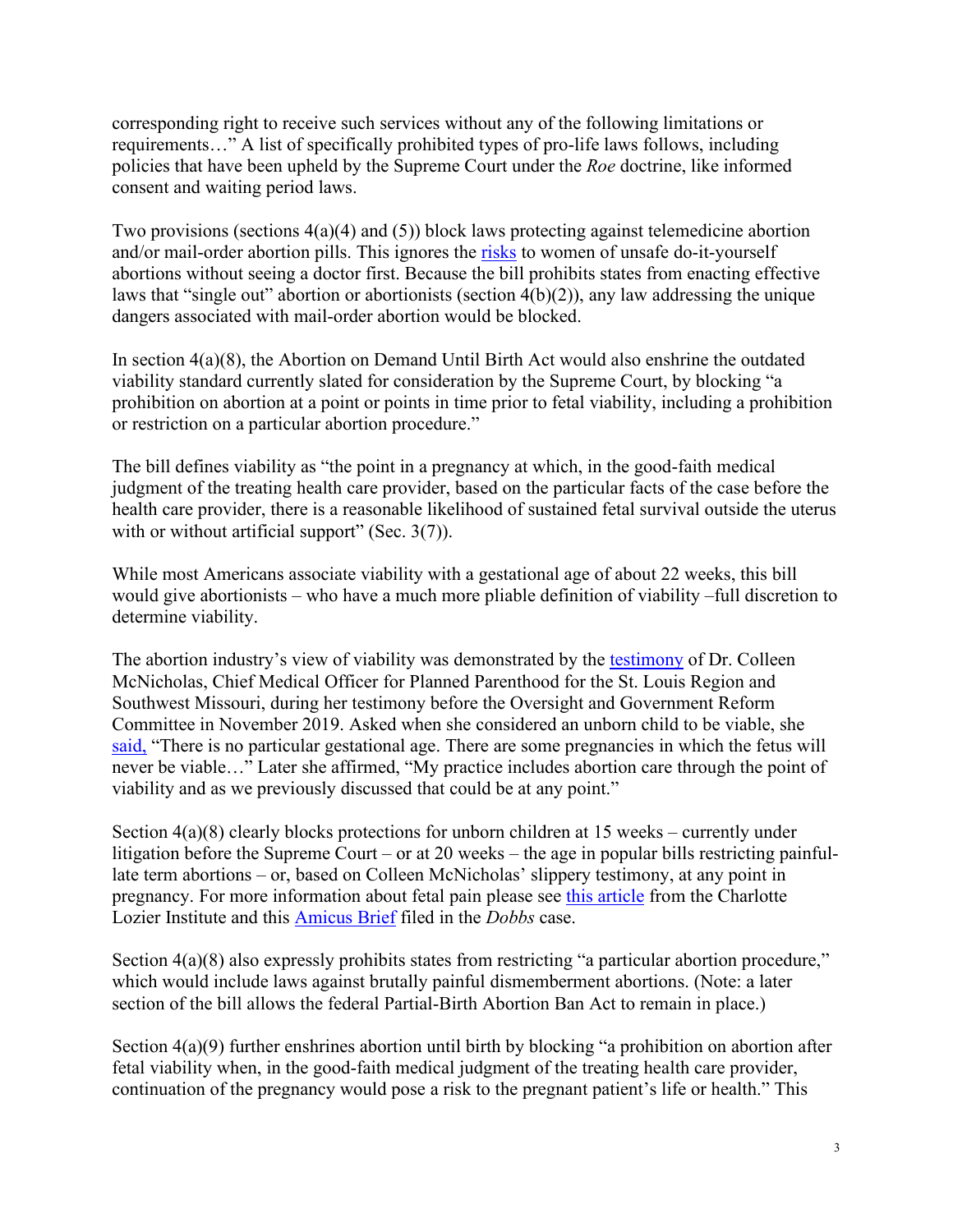corresponding right to receive such services without any of the following limitations or requirements…" A list of specifically prohibited types of pro-life laws follows, including policies that have been upheld by the Supreme Court under the *Roe* doctrine, like informed consent and waiting period laws.

Two provisions (sections 4(a)(4) and (5)) block laws protecting against telemedicine abortion and/or mail-order abortion pills. This ignores the [risks](https://lozierinstitute.org/analysis-fda-decision-ignores-data-on-complications-puts-women-at-risk/) to women of unsafe do-it-yourself abortions without seeing a doctor first. Because the bill prohibits states from enacting effective laws that "single out" abortion or abortionists (section 4(b)(2)), any law addressing the unique dangers associated with mail-order abortion would be blocked.

In section 4(a)(8), the Abortion on Demand Until Birth Act would also enshrine the outdated viability standard currently slated for consideration by the Supreme Court, by blocking "a prohibition on abortion at a point or points in time prior to fetal viability, including a prohibition or restriction on a particular abortion procedure."

The bill defines viability as "the point in a pregnancy at which, in the good-faith medical judgment of the treating health care provider, based on the particular facts of the case before the health care provider, there is a reasonable likelihood of sustained fetal survival outside the uterus with or without artificial support" (Sec. 3(7)).

While most Americans associate viability with a gestational age of about 22 weeks, this bill would give abortionists – who have a much more pliable definition of viability –full discretion to determine viability.

The abortion industry's view of viability was demonstrated by the [testimony](https://oversight.house.gov/legislation/hearings/examining-state-efforts-to-undermine-access-to-reproductive-health-care) of Dr. Colleen McNicholas, Chief Medical Officer for Planned Parenthood for the St. Louis Region and Southwest Missouri, during her testimony before the Oversight and Government Reform Committee in November 2019. Asked when she considered an unborn child to be viable, she [said,](https://www.youtube.com/watch?v=DBVXLHTGLMM&list=PLytHy7PQxOT54yRqNBe-v4G3ivkET0PSg&index=11) "There is no particular gestational age. There are some pregnancies in which the fetus will never be viable…" Later she affirmed, "My practice includes abortion care through the point of viability and as we previously discussed that could be at any point."

Section 4(a)(8) clearly blocks protections for unborn children at 15 weeks – currently under litigation before the Supreme Court – or at 20 weeks – the age in popular bills restricting painfullate term abortions – or, based on Colleen McNicholas' slippery testimony, at any point in pregnancy. For more information about fetal pain please see [this article](https://lozierinstitute.org/the-acog-should-reconsider-fetal-pain/#:%7E:text=%20The%20ACOG%20Should%20Reconsider%20Fetal%20Pain%20,and%20psychological%20experience%20that%20requires%20conscious...%20More%20) from the Charlotte Lozier Institute and this [Amicus Brief](https://s27589.pcdn.co/wp-content/uploads/2021/07/CLI-Dobbs-Amicus-Brief.pdf) filed in the *Dobbs* case.

Section 4(a)(8) also expressly prohibits states from restricting "a particular abortion procedure," which would include laws against brutally painful dismemberment abortions. (Note: a later section of the bill allows the federal Partial-Birth Abortion Ban Act to remain in place.)

Section 4(a)(9) further enshrines abortion until birth by blocking "a prohibition on abortion after fetal viability when, in the good-faith medical judgment of the treating health care provider, continuation of the pregnancy would pose a risk to the pregnant patient's life or health." This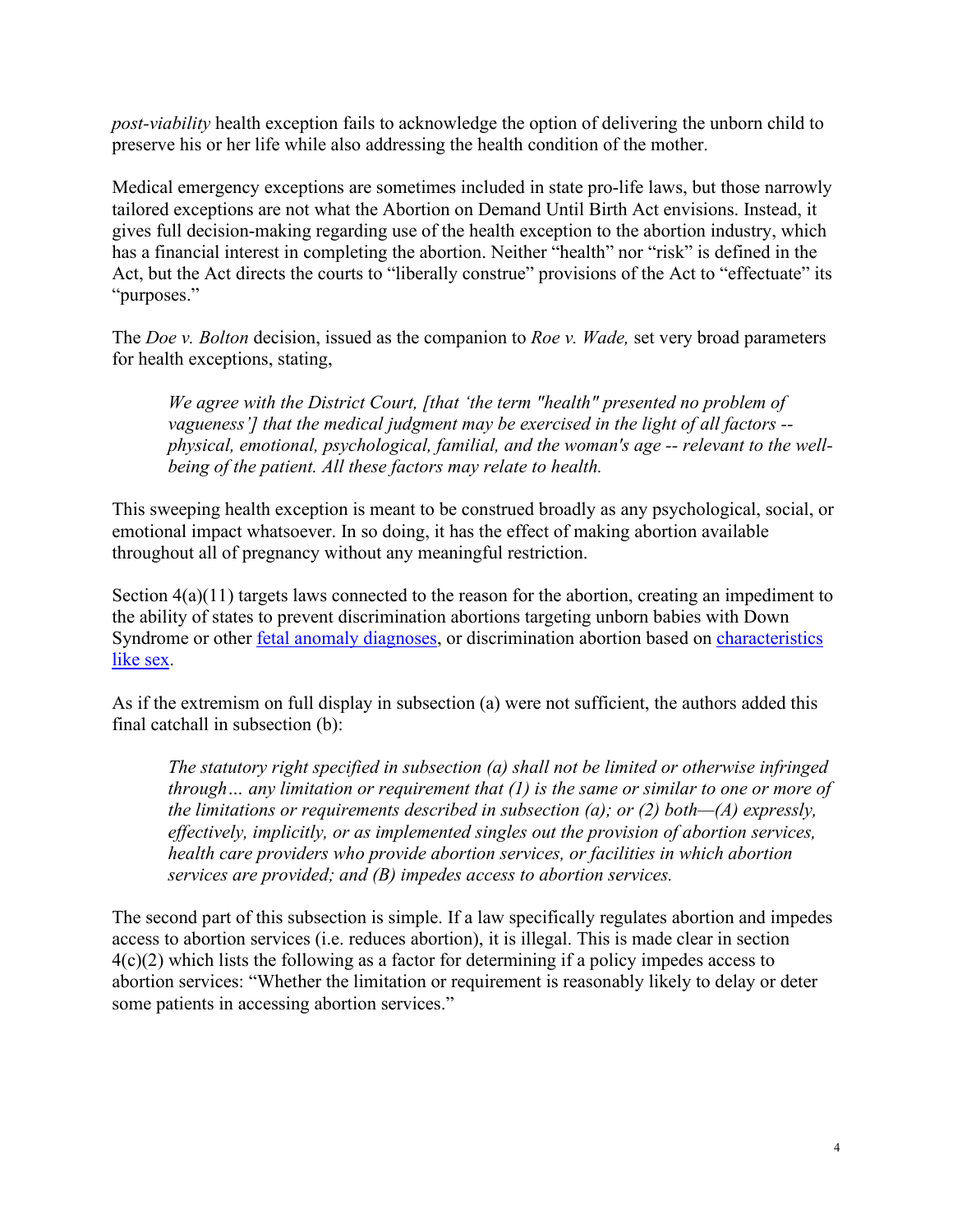*post-viability* health exception fails to acknowledge the option of delivering the unborn child to preserve his or her life while also addressing the health condition of the mother.

Medical emergency exceptions are sometimes included in state pro-life laws, but those narrowly tailored exceptions are not what the Abortion on Demand Until Birth Act envisions. Instead, it gives full decision-making regarding use of the health exception to the abortion industry, which has a financial interest in completing the abortion. Neither "health" nor "risk" is defined in the Act, but the Act directs the courts to "liberally construe" provisions of the Act to "effectuate" its "purposes."

The *Doe v. Bolton* decision, issued as the companion to *Roe v. Wade,* set very broad parameters for health exceptions, stating,

*We agree with the District Court, [that 'the term "health" presented no problem of vagueness'] that the medical judgment may be exercised in the light of all factors - physical, emotional, psychological, familial, and the woman's age -- relevant to the wellbeing of the patient. All these factors may relate to health.*

This sweeping health exception is meant to be construed broadly as any psychological, social, or emotional impact whatsoever. In so doing, it has the effect of making abortion available throughout all of pregnancy without any meaningful restriction.

Section  $4(a)(11)$  targets laws connected to the reason for the abortion, creating an impediment to the ability of states to prevent discrimination abortions targeting unborn babies with Down Syndrome or other [fetal anomaly](https://lozierinstitute.org/written-testimony-david-a-prentice-in-support-of-ohios-down-syndrome-non-discrimination-act/) diagnoses, or discrimination abortion based on [characteristics](https://lozierinstitute.org/wp-content/uploads/2016/04/Higgins-Sex-Selective-Abortion-paper_April12_FINAL_April122016_-1.pdf)  [like sex.](https://lozierinstitute.org/wp-content/uploads/2016/04/Higgins-Sex-Selective-Abortion-paper_April12_FINAL_April122016_-1.pdf)

As if the extremism on full display in subsection (a) were not sufficient, the authors added this final catchall in subsection (b):

*The statutory right specified in subsection (a) shall not be limited or otherwise infringed through… any limitation or requirement that (1) is the same or similar to one or more of the limitations or requirements described in subsection (a); or (2) both—(A) expressly, effectively, implicitly, or as implemented singles out the provision of abortion services, health care providers who provide abortion services, or facilities in which abortion services are provided; and (B) impedes access to abortion services.*

The second part of this subsection is simple. If a law specifically regulates abortion and impedes access to abortion services (i.e. reduces abortion), it is illegal. This is made clear in section 4(c)(2) which lists the following as a factor for determining if a policy impedes access to abortion services: "Whether the limitation or requirement is reasonably likely to delay or deter some patients in accessing abortion services."